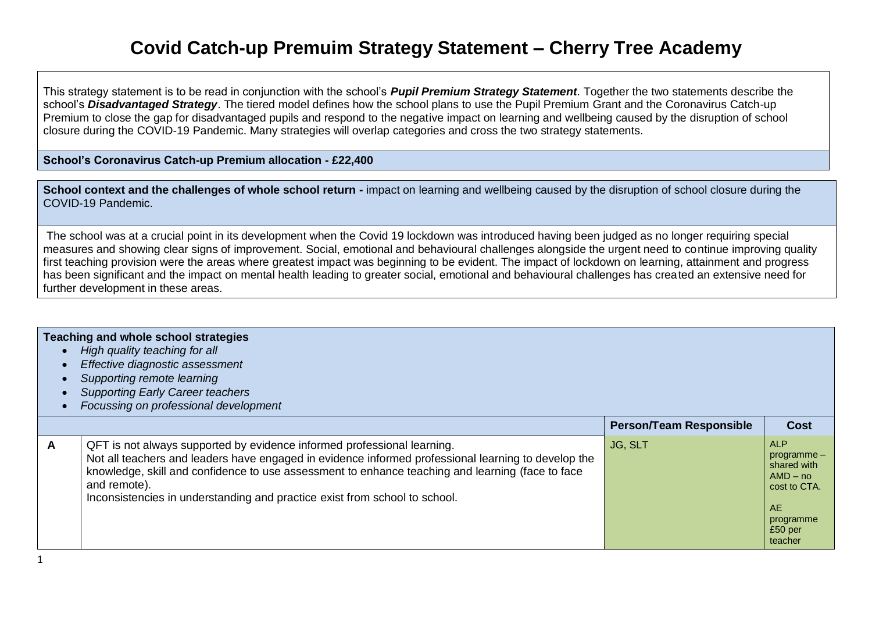## **Covid Catch-up Premuim Strategy Statement – Cherry Tree Academy**

This strategy statement is to be read in conjunction with the school's *Pupil Premium Strategy Statement*. Together the two statements describe the school's *Disadvantaged Strategy*. The tiered model defines how the school plans to use the Pupil Premium Grant and the Coronavirus Catch-up Premium to close the gap for disadvantaged pupils and respond to the negative impact on learning and wellbeing caused by the disruption of school closure during the COVID-19 Pandemic. Many strategies will overlap categories and cross the two strategy statements.

**School's Coronavirus Catch-up Premium allocation - £22,400**

**School context and the challenges of whole school return -** impact on learning and wellbeing caused by the disruption of school closure during the COVID-19 Pandemic.

The school was at a crucial point in its development when the Covid 19 lockdown was introduced having been judged as no longer requiring special measures and showing clear signs of improvement. Social, emotional and behavioural challenges alongside the urgent need to continue improving quality first teaching provision were the areas where greatest impact was beginning to be evident. The impact of lockdown on learning, attainment and progress has been significant and the impact on mental health leading to greater social, emotional and behavioural challenges has created an extensive need for further development in these areas.

## **Teaching and whole school strategies**

- *High quality teaching for all*
- *Effective diagnostic assessment*
- *Supporting remote learning*
- *Supporting Early Career teachers*
- *Focussing on professional development*

|   |                                                                                                                                                                                                                                                                                                                                                                                  | <b>Person/Team Responsible</b> | <b>Cost</b>                                                                                                     |
|---|----------------------------------------------------------------------------------------------------------------------------------------------------------------------------------------------------------------------------------------------------------------------------------------------------------------------------------------------------------------------------------|--------------------------------|-----------------------------------------------------------------------------------------------------------------|
| A | QFT is not always supported by evidence informed professional learning.<br>Not all teachers and leaders have engaged in evidence informed professional learning to develop the<br>knowledge, skill and confidence to use assessment to enhance teaching and learning (face to face<br>and remote).<br>Inconsistencies in understanding and practice exist from school to school. | JG, SLT                        | <b>ALP</b><br>programme-<br>shared with<br>$AMD - no$<br>cost to CTA.<br>AE.<br>programme<br>£50 per<br>teacher |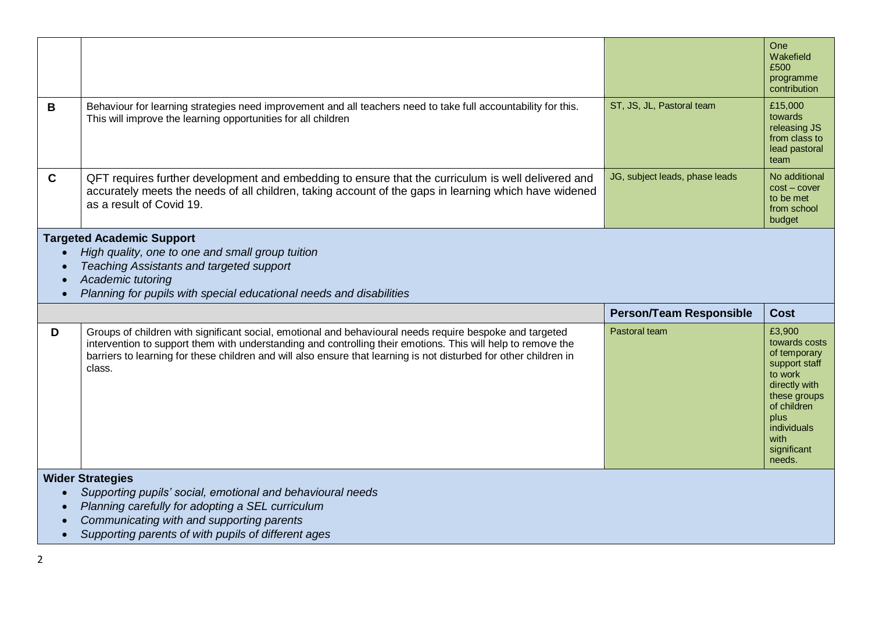|                                                                                                                                                                                                                                                                     |                                                                                                                                                                                                                                                                                                                                                         |                                | One<br>Wakefield<br>£500<br>programme<br>contribution                                                                                                                       |  |  |  |
|---------------------------------------------------------------------------------------------------------------------------------------------------------------------------------------------------------------------------------------------------------------------|---------------------------------------------------------------------------------------------------------------------------------------------------------------------------------------------------------------------------------------------------------------------------------------------------------------------------------------------------------|--------------------------------|-----------------------------------------------------------------------------------------------------------------------------------------------------------------------------|--|--|--|
| В                                                                                                                                                                                                                                                                   | Behaviour for learning strategies need improvement and all teachers need to take full accountability for this.<br>This will improve the learning opportunities for all children                                                                                                                                                                         | ST, JS, JL, Pastoral team      | £15,000<br>towards<br>releasing JS<br>from class to<br>lead pastoral<br>team                                                                                                |  |  |  |
| $\mathbf{C}$                                                                                                                                                                                                                                                        | QFT requires further development and embedding to ensure that the curriculum is well delivered and<br>accurately meets the needs of all children, taking account of the gaps in learning which have widened<br>as a result of Covid 19.                                                                                                                 | JG, subject leads, phase leads | No additional<br>$cost$ – cover<br>to be met<br>from school<br>budget                                                                                                       |  |  |  |
| <b>Targeted Academic Support</b><br>High quality, one to one and small group tuition<br>$\bullet$<br>Teaching Assistants and targeted support<br>$\bullet$<br>Academic tutoring<br>$\bullet$<br>Planning for pupils with special educational needs and disabilities |                                                                                                                                                                                                                                                                                                                                                         |                                |                                                                                                                                                                             |  |  |  |
|                                                                                                                                                                                                                                                                     |                                                                                                                                                                                                                                                                                                                                                         |                                |                                                                                                                                                                             |  |  |  |
|                                                                                                                                                                                                                                                                     |                                                                                                                                                                                                                                                                                                                                                         | <b>Person/Team Responsible</b> | <b>Cost</b>                                                                                                                                                                 |  |  |  |
| D                                                                                                                                                                                                                                                                   | Groups of children with significant social, emotional and behavioural needs require bespoke and targeted<br>intervention to support them with understanding and controlling their emotions. This will help to remove the<br>barriers to learning for these children and will also ensure that learning is not disturbed for other children in<br>class. | Pastoral team                  | £3,900<br>towards costs<br>of temporary<br>support staff<br>to work<br>directly with<br>these groups<br>of children<br>plus<br>individuals<br>with<br>significant<br>needs. |  |  |  |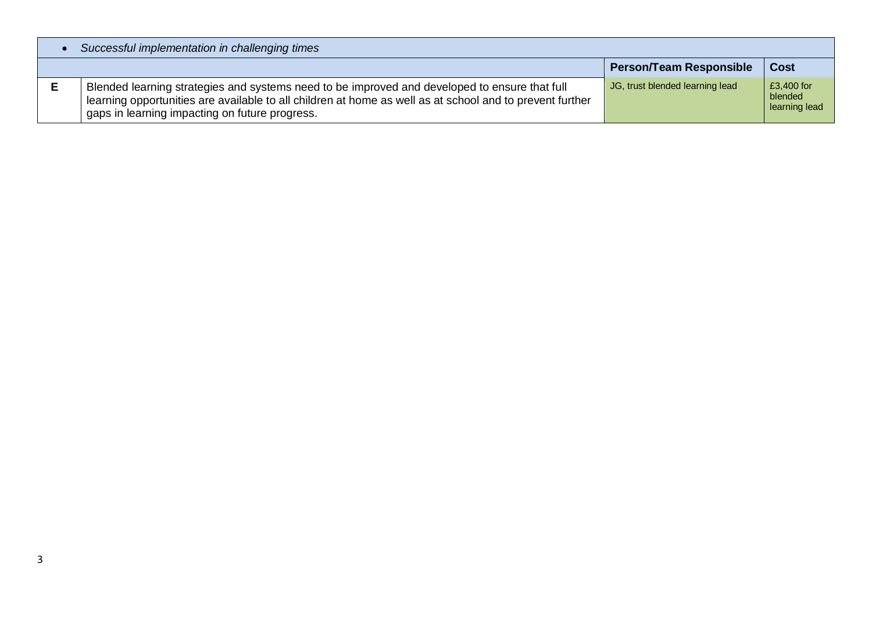| Successful implementation in challenging times                                                                                                                                                                                                              |                                 |                                        |  |  |  |  |
|-------------------------------------------------------------------------------------------------------------------------------------------------------------------------------------------------------------------------------------------------------------|---------------------------------|----------------------------------------|--|--|--|--|
|                                                                                                                                                                                                                                                             | <b>Person/Team Responsible</b>  | <b>Cost</b>                            |  |  |  |  |
| Blended learning strategies and systems need to be improved and developed to ensure that full<br>learning opportunities are available to all children at home as well as at school and to prevent further<br>gaps in learning impacting on future progress. | JG, trust blended learning lead | £3,400 for<br>blended<br>learning lead |  |  |  |  |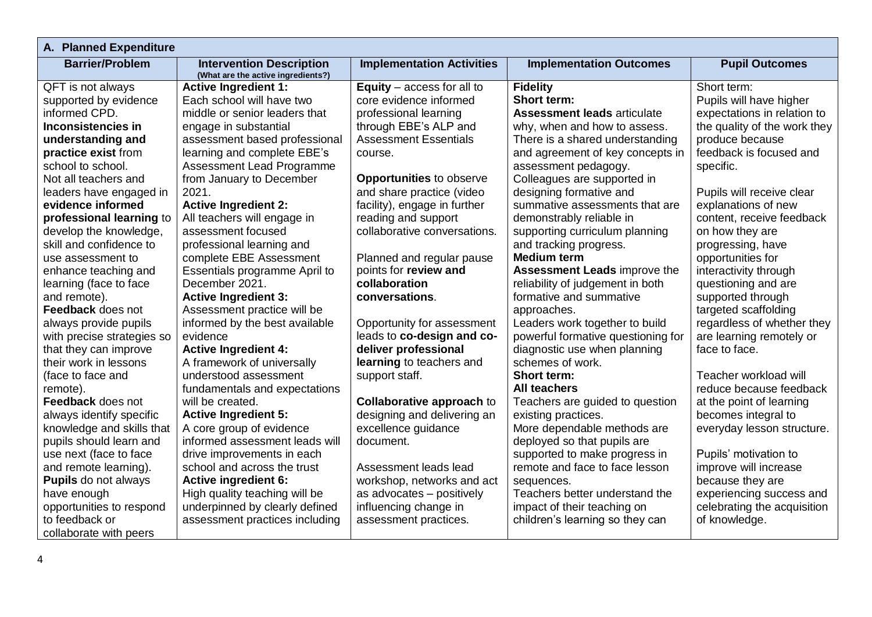| A. Planned Expenditure      |                                                                       |                                  |                                     |                              |  |  |  |  |
|-----------------------------|-----------------------------------------------------------------------|----------------------------------|-------------------------------------|------------------------------|--|--|--|--|
| <b>Barrier/Problem</b>      | <b>Intervention Description</b><br>(What are the active ingredients?) | <b>Implementation Activities</b> | <b>Implementation Outcomes</b>      | <b>Pupil Outcomes</b>        |  |  |  |  |
| QFT is not always           | <b>Active Ingredient 1:</b>                                           | Equity $-$ access for all to     | <b>Fidelity</b>                     | Short term:                  |  |  |  |  |
| supported by evidence       | Each school will have two                                             | core evidence informed           | <b>Short term:</b>                  | Pupils will have higher      |  |  |  |  |
| informed CPD.               | middle or senior leaders that                                         | professional learning            | <b>Assessment leads articulate</b>  | expectations in relation to  |  |  |  |  |
| <b>Inconsistencies in</b>   | engage in substantial                                                 | through EBE's ALP and            | why, when and how to assess.        | the quality of the work they |  |  |  |  |
| understanding and           | assessment based professional                                         | <b>Assessment Essentials</b>     | There is a shared understanding     | produce because              |  |  |  |  |
| practice exist from         | learning and complete EBE's                                           | course.                          | and agreement of key concepts in    | feedback is focused and      |  |  |  |  |
| school to school.           | <b>Assessment Lead Programme</b>                                      |                                  | assessment pedagogy.                | specific.                    |  |  |  |  |
| Not all teachers and        | from January to December                                              | <b>Opportunities to observe</b>  | Colleagues are supported in         |                              |  |  |  |  |
| leaders have engaged in     | 2021.                                                                 | and share practice (video        | designing formative and             | Pupils will receive clear    |  |  |  |  |
| evidence informed           | <b>Active Ingredient 2:</b>                                           | facility), engage in further     | summative assessments that are      | explanations of new          |  |  |  |  |
| professional learning to    | All teachers will engage in                                           | reading and support              | demonstrably reliable in            | content, receive feedback    |  |  |  |  |
| develop the knowledge,      | assessment focused                                                    | collaborative conversations.     | supporting curriculum planning      | on how they are              |  |  |  |  |
| skill and confidence to     | professional learning and                                             |                                  | and tracking progress.              | progressing, have            |  |  |  |  |
| use assessment to           | complete EBE Assessment                                               | Planned and regular pause        | <b>Medium term</b>                  | opportunities for            |  |  |  |  |
| enhance teaching and        | Essentials programme April to                                         | points for review and            | <b>Assessment Leads improve the</b> | interactivity through        |  |  |  |  |
| learning (face to face      | December 2021.                                                        | collaboration                    | reliability of judgement in both    | questioning and are          |  |  |  |  |
| and remote).                | <b>Active Ingredient 3:</b>                                           | conversations.                   | formative and summative             | supported through            |  |  |  |  |
| Feedback does not           | Assessment practice will be                                           |                                  | approaches.                         | targeted scaffolding         |  |  |  |  |
| always provide pupils       | informed by the best available                                        | Opportunity for assessment       | Leaders work together to build      | regardless of whether they   |  |  |  |  |
| with precise strategies so  | evidence                                                              | leads to co-design and co-       | powerful formative questioning for  | are learning remotely or     |  |  |  |  |
| that they can improve       | <b>Active Ingredient 4:</b>                                           | deliver professional             | diagnostic use when planning        | face to face.                |  |  |  |  |
| their work in lessons       | A framework of universally                                            | learning to teachers and         | schemes of work.                    |                              |  |  |  |  |
| (face to face and           | understood assessment                                                 | support staff.                   | <b>Short term:</b>                  | Teacher workload will        |  |  |  |  |
| remote).                    | fundamentals and expectations                                         |                                  | <b>All teachers</b>                 | reduce because feedback      |  |  |  |  |
| Feedback does not           | will be created.                                                      | <b>Collaborative approach to</b> | Teachers are guided to question     | at the point of learning     |  |  |  |  |
| always identify specific    | <b>Active Ingredient 5:</b>                                           | designing and delivering an      | existing practices.                 | becomes integral to          |  |  |  |  |
| knowledge and skills that   | A core group of evidence                                              | excellence guidance              | More dependable methods are         | everyday lesson structure.   |  |  |  |  |
| pupils should learn and     | informed assessment leads will                                        | document.                        | deployed so that pupils are         |                              |  |  |  |  |
| use next (face to face      | drive improvements in each                                            |                                  | supported to make progress in       | Pupils' motivation to        |  |  |  |  |
| and remote learning).       | school and across the trust                                           | Assessment leads lead            | remote and face to face lesson      | improve will increase        |  |  |  |  |
| <b>Pupils</b> do not always | <b>Active ingredient 6:</b>                                           | workshop, networks and act       | sequences.                          | because they are             |  |  |  |  |
| have enough                 | High quality teaching will be                                         | as advocates - positively        | Teachers better understand the      | experiencing success and     |  |  |  |  |
| opportunities to respond    | underpinned by clearly defined                                        | influencing change in            | impact of their teaching on         | celebrating the acquisition  |  |  |  |  |
| to feedback or              | assessment practices including                                        | assessment practices.            | children's learning so they can     | of knowledge.                |  |  |  |  |
| collaborate with peers      |                                                                       |                                  |                                     |                              |  |  |  |  |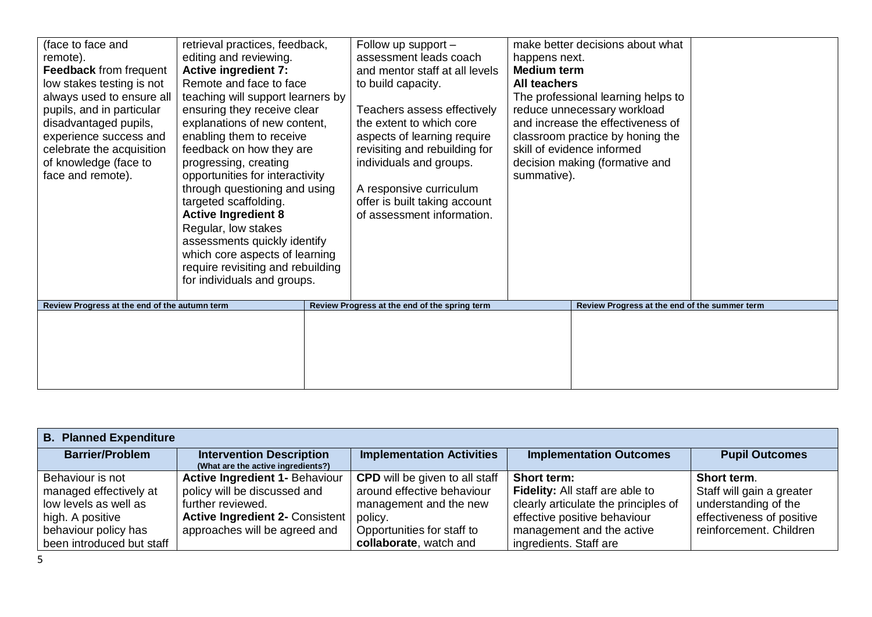| (face to face and<br>remote).<br><b>Feedback</b> from frequent<br>low stakes testing is not<br>always used to ensure all<br>pupils, and in particular<br>disadvantaged pupils,<br>experience success and<br>celebrate the acquisition<br>of knowledge (face to<br>face and remote). | retrieval practices, feedback,<br>editing and reviewing.<br><b>Active ingredient 7:</b><br>Remote and face to face<br>teaching will support learners by<br>ensuring they receive clear<br>explanations of new content,<br>enabling them to receive<br>feedback on how they are<br>progressing, creating<br>opportunities for interactivity<br>through questioning and using<br>targeted scaffolding.<br><b>Active Ingredient 8</b><br>Regular, low stakes<br>assessments quickly identify<br>which core aspects of learning<br>require revisiting and rebuilding<br>for individuals and groups. | Follow up support -<br>assessment leads coach<br>and mentor staff at all levels<br>to build capacity.<br>Teachers assess effectively<br>the extent to which core<br>aspects of learning require<br>revisiting and rebuilding for<br>individuals and groups.<br>A responsive curriculum<br>offer is built taking account<br>of assessment information. | happens next.<br><b>Medium term</b><br>All teachers<br>summative). | make better decisions about what<br>The professional learning helps to<br>reduce unnecessary workload<br>and increase the effectiveness of<br>classroom practice by honing the<br>skill of evidence informed<br>decision making (formative and |  |
|-------------------------------------------------------------------------------------------------------------------------------------------------------------------------------------------------------------------------------------------------------------------------------------|-------------------------------------------------------------------------------------------------------------------------------------------------------------------------------------------------------------------------------------------------------------------------------------------------------------------------------------------------------------------------------------------------------------------------------------------------------------------------------------------------------------------------------------------------------------------------------------------------|-------------------------------------------------------------------------------------------------------------------------------------------------------------------------------------------------------------------------------------------------------------------------------------------------------------------------------------------------------|--------------------------------------------------------------------|------------------------------------------------------------------------------------------------------------------------------------------------------------------------------------------------------------------------------------------------|--|
| Review Progress at the end of the autumn term                                                                                                                                                                                                                                       |                                                                                                                                                                                                                                                                                                                                                                                                                                                                                                                                                                                                 | Review Progress at the end of the spring term                                                                                                                                                                                                                                                                                                         |                                                                    | Review Progress at the end of the summer term                                                                                                                                                                                                  |  |
|                                                                                                                                                                                                                                                                                     |                                                                                                                                                                                                                                                                                                                                                                                                                                                                                                                                                                                                 |                                                                                                                                                                                                                                                                                                                                                       |                                                                    |                                                                                                                                                                                                                                                |  |

| <b>B. Planned Expenditure</b> |                                                                       |                                       |                                        |                           |  |  |  |
|-------------------------------|-----------------------------------------------------------------------|---------------------------------------|----------------------------------------|---------------------------|--|--|--|
| <b>Barrier/Problem</b>        | <b>Intervention Description</b><br>(What are the active ingredients?) | <b>Implementation Activities</b>      | <b>Implementation Outcomes</b>         | <b>Pupil Outcomes</b>     |  |  |  |
| Behaviour is not              | <b>Active Ingredient 1- Behaviour</b>                                 | <b>CPD</b> will be given to all staff | Short term:                            | Short term.               |  |  |  |
| managed effectively at        | policy will be discussed and                                          | around effective behaviour            | <b>Fidelity:</b> All staff are able to | Staff will gain a greater |  |  |  |
| low levels as well as         | further reviewed.                                                     | management and the new                | clearly articulate the principles of   | understanding of the      |  |  |  |
| high. A positive              | <b>Active Ingredient 2- Consistent</b>                                | policy.                               | effective positive behaviour           | effectiveness of positive |  |  |  |
| behaviour policy has          | approaches will be agreed and                                         | Opportunities for staff to            | management and the active              | reinforcement. Children   |  |  |  |
| been introduced but staff     |                                                                       | collaborate, watch and                | ingredients. Staff are                 |                           |  |  |  |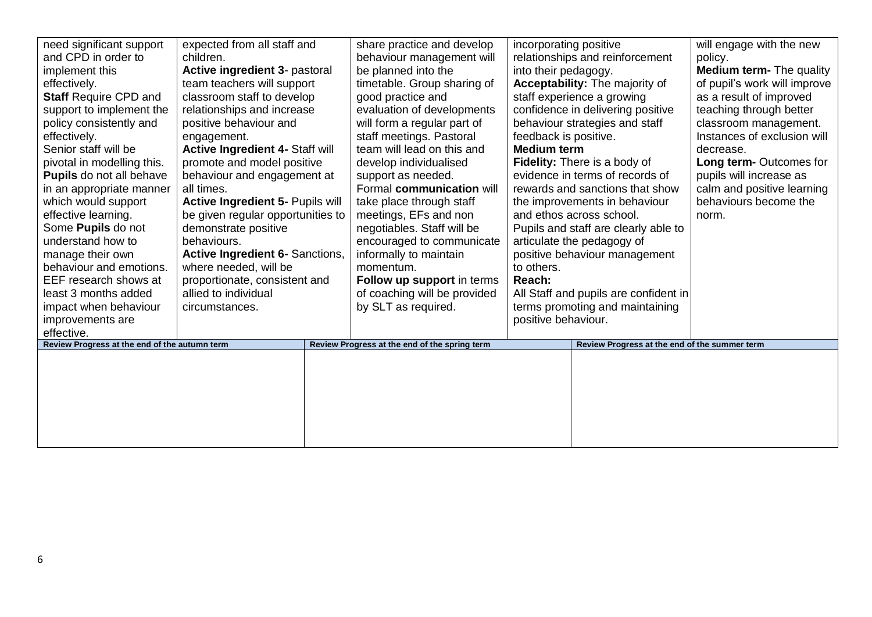| need significant support<br>and CPD in order to<br>implement this<br>effectively.<br><b>Staff Require CPD and</b><br>support to implement the<br>policy consistently and<br>effectively.<br>Senior staff will be<br>pivotal in modelling this.<br><b>Pupils</b> do not all behave<br>in an appropriate manner<br>which would support<br>effective learning.<br>Some Pupils do not<br>understand how to<br>manage their own<br>behaviour and emotions.<br>EEF research shows at<br>least 3 months added<br>impact when behaviour<br>improvements are<br>effective. | expected from all staff and<br>children.<br>Active ingredient 3- pastoral<br>team teachers will support<br>classroom staff to develop<br>relationships and increase<br>positive behaviour and<br>engagement.<br>Active Ingredient 4- Staff will<br>promote and model positive<br>behaviour and engagement at<br>all times.<br><b>Active Ingredient 5- Pupils will</b><br>be given regular opportunities to<br>demonstrate positive<br>behaviours.<br><b>Active Ingredient 6- Sanctions,</b><br>where needed, will be<br>proportionate, consistent and<br>allied to individual<br>circumstances. | share practice and develop<br>behaviour management will<br>be planned into the<br>timetable. Group sharing of<br>good practice and<br>evaluation of developments<br>will form a regular part of<br>staff meetings. Pastoral<br>team will lead on this and<br>develop individualised<br>support as needed.<br>Formal communication will<br>take place through staff<br>meetings, EFs and non<br>negotiables. Staff will be<br>encouraged to communicate<br>informally to maintain<br>momentum.<br>Follow up support in terms<br>of coaching will be provided<br>by SLT as required. | incorporating positive<br>into their pedagogy.<br>feedback is positive.<br><b>Medium term</b><br>to others.<br>Reach:<br>positive behaviour. | relationships and reinforcement<br><b>Acceptability:</b> The majority of<br>staff experience a growing<br>confidence in delivering positive<br>behaviour strategies and staff<br>Fidelity: There is a body of<br>evidence in terms of records of<br>rewards and sanctions that show<br>the improvements in behaviour<br>and ethos across school.<br>Pupils and staff are clearly able to<br>articulate the pedagogy of<br>positive behaviour management<br>All Staff and pupils are confident in<br>terms promoting and maintaining | will engage with the new<br>policy.<br><b>Medium term-</b> The quality<br>of pupil's work will improve<br>as a result of improved<br>teaching through better<br>classroom management.<br>Instances of exclusion will<br>decrease.<br>Long term-Outcomes for<br>pupils will increase as<br>calm and positive learning<br>behaviours become the<br>norm. |
|-------------------------------------------------------------------------------------------------------------------------------------------------------------------------------------------------------------------------------------------------------------------------------------------------------------------------------------------------------------------------------------------------------------------------------------------------------------------------------------------------------------------------------------------------------------------|-------------------------------------------------------------------------------------------------------------------------------------------------------------------------------------------------------------------------------------------------------------------------------------------------------------------------------------------------------------------------------------------------------------------------------------------------------------------------------------------------------------------------------------------------------------------------------------------------|------------------------------------------------------------------------------------------------------------------------------------------------------------------------------------------------------------------------------------------------------------------------------------------------------------------------------------------------------------------------------------------------------------------------------------------------------------------------------------------------------------------------------------------------------------------------------------|----------------------------------------------------------------------------------------------------------------------------------------------|-------------------------------------------------------------------------------------------------------------------------------------------------------------------------------------------------------------------------------------------------------------------------------------------------------------------------------------------------------------------------------------------------------------------------------------------------------------------------------------------------------------------------------------|--------------------------------------------------------------------------------------------------------------------------------------------------------------------------------------------------------------------------------------------------------------------------------------------------------------------------------------------------------|
| Review Progress at the end of the autumn term                                                                                                                                                                                                                                                                                                                                                                                                                                                                                                                     |                                                                                                                                                                                                                                                                                                                                                                                                                                                                                                                                                                                                 | Review Progress at the end of the spring term                                                                                                                                                                                                                                                                                                                                                                                                                                                                                                                                      |                                                                                                                                              | Review Progress at the end of the summer term                                                                                                                                                                                                                                                                                                                                                                                                                                                                                       |                                                                                                                                                                                                                                                                                                                                                        |
|                                                                                                                                                                                                                                                                                                                                                                                                                                                                                                                                                                   |                                                                                                                                                                                                                                                                                                                                                                                                                                                                                                                                                                                                 |                                                                                                                                                                                                                                                                                                                                                                                                                                                                                                                                                                                    |                                                                                                                                              |                                                                                                                                                                                                                                                                                                                                                                                                                                                                                                                                     |                                                                                                                                                                                                                                                                                                                                                        |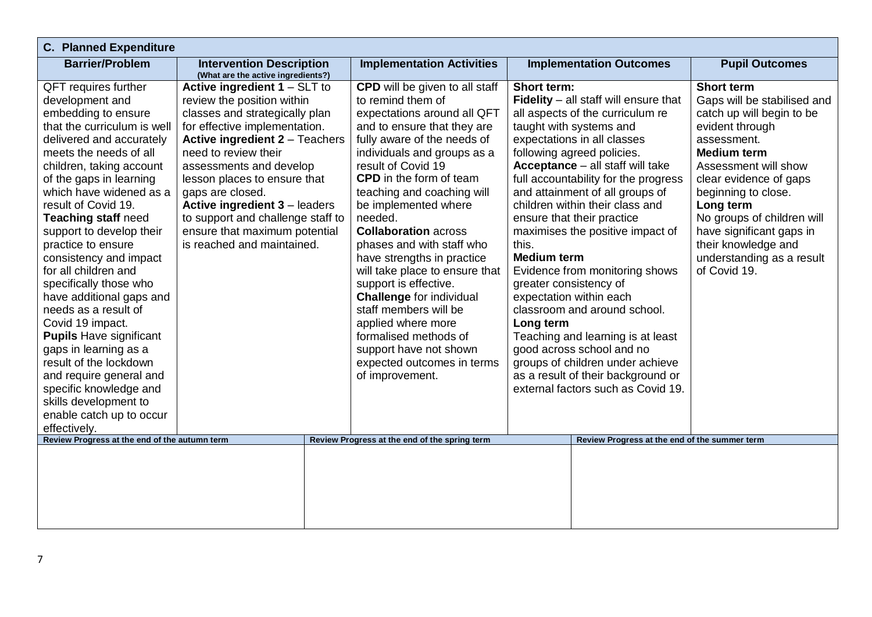| <b>C. Planned Expenditure</b>                 |                                                                       |                                               |                                               |                             |  |  |  |
|-----------------------------------------------|-----------------------------------------------------------------------|-----------------------------------------------|-----------------------------------------------|-----------------------------|--|--|--|
| <b>Barrier/Problem</b>                        | <b>Intervention Description</b><br>(What are the active ingredients?) | <b>Implementation Activities</b>              | <b>Implementation Outcomes</b>                | <b>Pupil Outcomes</b>       |  |  |  |
| QFT requires further                          | Active ingredient $1 - SLT$ to                                        | <b>CPD</b> will be given to all staff         | Short term:                                   | <b>Short term</b>           |  |  |  |
| development and                               | review the position within                                            | to remind them of                             | Fidelity - all staff will ensure that         | Gaps will be stabilised and |  |  |  |
| embedding to ensure                           | classes and strategically plan                                        | expectations around all QFT                   | all aspects of the curriculum re              | catch up will begin to be   |  |  |  |
| that the curriculum is well                   | for effective implementation.                                         | and to ensure that they are                   | taught with systems and                       | evident through             |  |  |  |
| delivered and accurately                      | <b>Active ingredient 2 - Teachers</b>                                 | fully aware of the needs of                   | expectations in all classes                   | assessment.                 |  |  |  |
| meets the needs of all                        | need to review their                                                  | individuals and groups as a                   | following agreed policies.                    | <b>Medium term</b>          |  |  |  |
| children, taking account                      | assessments and develop                                               | result of Covid 19                            | Acceptance - all staff will take              | Assessment will show        |  |  |  |
| of the gaps in learning                       | lesson places to ensure that                                          | <b>CPD</b> in the form of team                | full accountability for the progress          | clear evidence of gaps      |  |  |  |
| which have widened as a                       | gaps are closed.                                                      | teaching and coaching will                    | and attainment of all groups of               | beginning to close.         |  |  |  |
| result of Covid 19.                           | <b>Active ingredient 3 - leaders</b>                                  | be implemented where                          | children within their class and               | Long term                   |  |  |  |
| <b>Teaching staff need</b>                    | to support and challenge staff to                                     | needed.                                       | ensure that their practice                    | No groups of children will  |  |  |  |
| support to develop their                      | ensure that maximum potential                                         | <b>Collaboration across</b>                   | maximises the positive impact of              | have significant gaps in    |  |  |  |
| practice to ensure                            | is reached and maintained.                                            | phases and with staff who                     | this.                                         | their knowledge and         |  |  |  |
| consistency and impact                        |                                                                       | have strengths in practice                    | <b>Medium term</b>                            | understanding as a result   |  |  |  |
| for all children and                          |                                                                       | will take place to ensure that                | Evidence from monitoring shows                | of Covid 19.                |  |  |  |
| specifically those who                        |                                                                       | support is effective.                         | greater consistency of                        |                             |  |  |  |
| have additional gaps and                      |                                                                       | <b>Challenge for individual</b>               | expectation within each                       |                             |  |  |  |
| needs as a result of                          |                                                                       | staff members will be                         | classroom and around school.                  |                             |  |  |  |
| Covid 19 impact.                              |                                                                       | applied where more                            | Long term                                     |                             |  |  |  |
| <b>Pupils Have significant</b>                |                                                                       | formalised methods of                         | Teaching and learning is at least             |                             |  |  |  |
| gaps in learning as a                         |                                                                       | support have not shown                        | good across school and no                     |                             |  |  |  |
| result of the lockdown                        |                                                                       | expected outcomes in terms                    | groups of children under achieve              |                             |  |  |  |
| and require general and                       |                                                                       | of improvement.                               | as a result of their background or            |                             |  |  |  |
| specific knowledge and                        |                                                                       |                                               | external factors such as Covid 19.            |                             |  |  |  |
| skills development to                         |                                                                       |                                               |                                               |                             |  |  |  |
| enable catch up to occur                      |                                                                       |                                               |                                               |                             |  |  |  |
| effectively.                                  |                                                                       |                                               |                                               |                             |  |  |  |
| Review Progress at the end of the autumn term |                                                                       | Review Progress at the end of the spring term | Review Progress at the end of the summer term |                             |  |  |  |
|                                               |                                                                       |                                               |                                               |                             |  |  |  |
|                                               |                                                                       |                                               |                                               |                             |  |  |  |
|                                               |                                                                       |                                               |                                               |                             |  |  |  |
|                                               |                                                                       |                                               |                                               |                             |  |  |  |
|                                               |                                                                       |                                               |                                               |                             |  |  |  |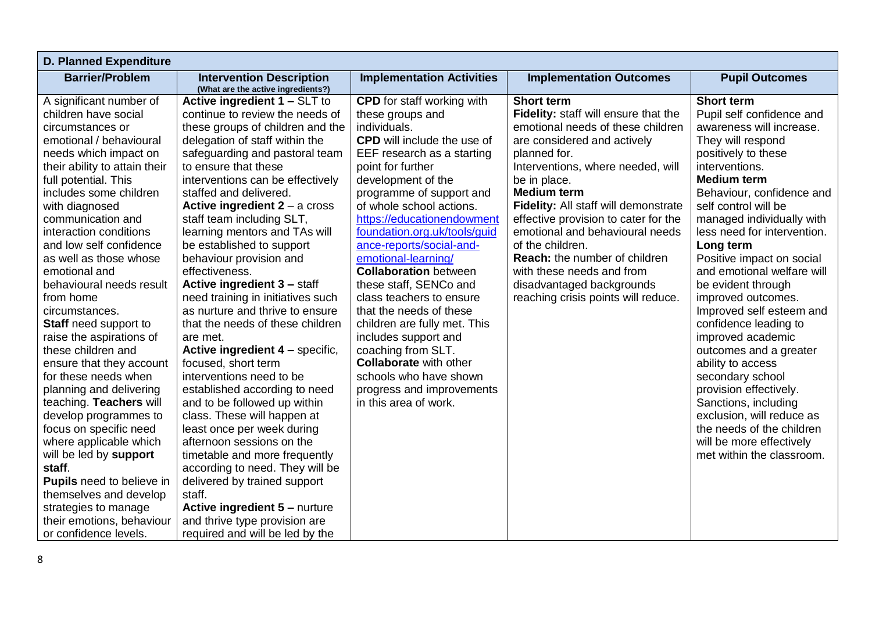| <b>Barrier/Problem</b><br><b>Intervention Description</b><br><b>Implementation Activities</b><br><b>Implementation Outcomes</b><br><b>Pupil Outcomes</b><br>(What are the active ingredients?)<br>Active ingredient 1 - SLT to<br><b>Short term</b><br><b>Short term</b><br>A significant number of<br><b>CPD</b> for staff working with<br>children have social<br>continue to review the needs of<br>Fidelity: staff will ensure that the<br>Pupil self confidence and<br>these groups and<br>emotional needs of these children<br>these groups of children and the<br>individuals.<br>awareness will increase.<br>circumstances or<br>emotional / behavioural<br>delegation of staff within the<br><b>CPD</b> will include the use of<br>They will respond<br>are considered and actively<br>needs which impact on<br>safeguarding and pastoral team<br>EEF research as a starting<br>planned for.<br>positively to these<br>to ensure that these<br>Interventions, where needed, will<br>interventions.<br>their ability to attain their<br>point for further<br>development of the<br><b>Medium term</b><br>full potential. This<br>interventions can be effectively<br>be in place.<br><b>Medium term</b><br>includes some children<br>staffed and delivered.<br>programme of support and<br>Behaviour, confidence and<br>with diagnosed<br>Active ingredient $2 - a$ cross<br>of whole school actions.<br>Fidelity: All staff will demonstrate<br>self control will be<br>https://educationendowment<br>communication and<br>staff team including SLT,<br>effective provision to cater for the<br>managed individually with<br>foundation.org.uk/tools/guid<br>learning mentors and TAs will<br>interaction conditions<br>emotional and behavioural needs<br>less need for intervention.<br>and low self confidence<br>be established to support<br>ance-reports/social-and-<br>of the children.<br>Long term<br>emotional-learning/<br><b>Reach:</b> the number of children<br>as well as those whose<br>behaviour provision and<br>Positive impact on social<br><b>Collaboration</b> between<br>effectiveness.<br>with these needs and from<br>and emotional welfare will<br>emotional and<br><b>Active ingredient 3 - staff</b><br>these staff, SENCo and<br>behavioural needs result<br>disadvantaged backgrounds<br>be evident through<br>need training in initiatives such<br>class teachers to ensure<br>reaching crisis points will reduce.<br>improved outcomes.<br>from home<br>as nurture and thrive to ensure<br>that the needs of these<br>Improved self esteem and<br>circumstances.<br>that the needs of these children<br>children are fully met. This<br>confidence leading to<br><b>Staff</b> need support to<br>improved academic<br>raise the aspirations of<br>includes support and<br>are met. |
|-----------------------------------------------------------------------------------------------------------------------------------------------------------------------------------------------------------------------------------------------------------------------------------------------------------------------------------------------------------------------------------------------------------------------------------------------------------------------------------------------------------------------------------------------------------------------------------------------------------------------------------------------------------------------------------------------------------------------------------------------------------------------------------------------------------------------------------------------------------------------------------------------------------------------------------------------------------------------------------------------------------------------------------------------------------------------------------------------------------------------------------------------------------------------------------------------------------------------------------------------------------------------------------------------------------------------------------------------------------------------------------------------------------------------------------------------------------------------------------------------------------------------------------------------------------------------------------------------------------------------------------------------------------------------------------------------------------------------------------------------------------------------------------------------------------------------------------------------------------------------------------------------------------------------------------------------------------------------------------------------------------------------------------------------------------------------------------------------------------------------------------------------------------------------------------------------------------------------------------------------------------------------------------------------------------------------------------------------------------------------------------------------------------------------------------------------------------------------------------------------------------------------------------------------------------------------------------------------------------------------------------------------------------------------------------------------------------------------------------------------------------------------------------------------------------------------------|
|                                                                                                                                                                                                                                                                                                                                                                                                                                                                                                                                                                                                                                                                                                                                                                                                                                                                                                                                                                                                                                                                                                                                                                                                                                                                                                                                                                                                                                                                                                                                                                                                                                                                                                                                                                                                                                                                                                                                                                                                                                                                                                                                                                                                                                                                                                                                                                                                                                                                                                                                                                                                                                                                                                                                                                                                                             |
|                                                                                                                                                                                                                                                                                                                                                                                                                                                                                                                                                                                                                                                                                                                                                                                                                                                                                                                                                                                                                                                                                                                                                                                                                                                                                                                                                                                                                                                                                                                                                                                                                                                                                                                                                                                                                                                                                                                                                                                                                                                                                                                                                                                                                                                                                                                                                                                                                                                                                                                                                                                                                                                                                                                                                                                                                             |
|                                                                                                                                                                                                                                                                                                                                                                                                                                                                                                                                                                                                                                                                                                                                                                                                                                                                                                                                                                                                                                                                                                                                                                                                                                                                                                                                                                                                                                                                                                                                                                                                                                                                                                                                                                                                                                                                                                                                                                                                                                                                                                                                                                                                                                                                                                                                                                                                                                                                                                                                                                                                                                                                                                                                                                                                                             |
|                                                                                                                                                                                                                                                                                                                                                                                                                                                                                                                                                                                                                                                                                                                                                                                                                                                                                                                                                                                                                                                                                                                                                                                                                                                                                                                                                                                                                                                                                                                                                                                                                                                                                                                                                                                                                                                                                                                                                                                                                                                                                                                                                                                                                                                                                                                                                                                                                                                                                                                                                                                                                                                                                                                                                                                                                             |
|                                                                                                                                                                                                                                                                                                                                                                                                                                                                                                                                                                                                                                                                                                                                                                                                                                                                                                                                                                                                                                                                                                                                                                                                                                                                                                                                                                                                                                                                                                                                                                                                                                                                                                                                                                                                                                                                                                                                                                                                                                                                                                                                                                                                                                                                                                                                                                                                                                                                                                                                                                                                                                                                                                                                                                                                                             |
|                                                                                                                                                                                                                                                                                                                                                                                                                                                                                                                                                                                                                                                                                                                                                                                                                                                                                                                                                                                                                                                                                                                                                                                                                                                                                                                                                                                                                                                                                                                                                                                                                                                                                                                                                                                                                                                                                                                                                                                                                                                                                                                                                                                                                                                                                                                                                                                                                                                                                                                                                                                                                                                                                                                                                                                                                             |
|                                                                                                                                                                                                                                                                                                                                                                                                                                                                                                                                                                                                                                                                                                                                                                                                                                                                                                                                                                                                                                                                                                                                                                                                                                                                                                                                                                                                                                                                                                                                                                                                                                                                                                                                                                                                                                                                                                                                                                                                                                                                                                                                                                                                                                                                                                                                                                                                                                                                                                                                                                                                                                                                                                                                                                                                                             |
|                                                                                                                                                                                                                                                                                                                                                                                                                                                                                                                                                                                                                                                                                                                                                                                                                                                                                                                                                                                                                                                                                                                                                                                                                                                                                                                                                                                                                                                                                                                                                                                                                                                                                                                                                                                                                                                                                                                                                                                                                                                                                                                                                                                                                                                                                                                                                                                                                                                                                                                                                                                                                                                                                                                                                                                                                             |
|                                                                                                                                                                                                                                                                                                                                                                                                                                                                                                                                                                                                                                                                                                                                                                                                                                                                                                                                                                                                                                                                                                                                                                                                                                                                                                                                                                                                                                                                                                                                                                                                                                                                                                                                                                                                                                                                                                                                                                                                                                                                                                                                                                                                                                                                                                                                                                                                                                                                                                                                                                                                                                                                                                                                                                                                                             |
|                                                                                                                                                                                                                                                                                                                                                                                                                                                                                                                                                                                                                                                                                                                                                                                                                                                                                                                                                                                                                                                                                                                                                                                                                                                                                                                                                                                                                                                                                                                                                                                                                                                                                                                                                                                                                                                                                                                                                                                                                                                                                                                                                                                                                                                                                                                                                                                                                                                                                                                                                                                                                                                                                                                                                                                                                             |
|                                                                                                                                                                                                                                                                                                                                                                                                                                                                                                                                                                                                                                                                                                                                                                                                                                                                                                                                                                                                                                                                                                                                                                                                                                                                                                                                                                                                                                                                                                                                                                                                                                                                                                                                                                                                                                                                                                                                                                                                                                                                                                                                                                                                                                                                                                                                                                                                                                                                                                                                                                                                                                                                                                                                                                                                                             |
|                                                                                                                                                                                                                                                                                                                                                                                                                                                                                                                                                                                                                                                                                                                                                                                                                                                                                                                                                                                                                                                                                                                                                                                                                                                                                                                                                                                                                                                                                                                                                                                                                                                                                                                                                                                                                                                                                                                                                                                                                                                                                                                                                                                                                                                                                                                                                                                                                                                                                                                                                                                                                                                                                                                                                                                                                             |
|                                                                                                                                                                                                                                                                                                                                                                                                                                                                                                                                                                                                                                                                                                                                                                                                                                                                                                                                                                                                                                                                                                                                                                                                                                                                                                                                                                                                                                                                                                                                                                                                                                                                                                                                                                                                                                                                                                                                                                                                                                                                                                                                                                                                                                                                                                                                                                                                                                                                                                                                                                                                                                                                                                                                                                                                                             |
|                                                                                                                                                                                                                                                                                                                                                                                                                                                                                                                                                                                                                                                                                                                                                                                                                                                                                                                                                                                                                                                                                                                                                                                                                                                                                                                                                                                                                                                                                                                                                                                                                                                                                                                                                                                                                                                                                                                                                                                                                                                                                                                                                                                                                                                                                                                                                                                                                                                                                                                                                                                                                                                                                                                                                                                                                             |
|                                                                                                                                                                                                                                                                                                                                                                                                                                                                                                                                                                                                                                                                                                                                                                                                                                                                                                                                                                                                                                                                                                                                                                                                                                                                                                                                                                                                                                                                                                                                                                                                                                                                                                                                                                                                                                                                                                                                                                                                                                                                                                                                                                                                                                                                                                                                                                                                                                                                                                                                                                                                                                                                                                                                                                                                                             |
|                                                                                                                                                                                                                                                                                                                                                                                                                                                                                                                                                                                                                                                                                                                                                                                                                                                                                                                                                                                                                                                                                                                                                                                                                                                                                                                                                                                                                                                                                                                                                                                                                                                                                                                                                                                                                                                                                                                                                                                                                                                                                                                                                                                                                                                                                                                                                                                                                                                                                                                                                                                                                                                                                                                                                                                                                             |
|                                                                                                                                                                                                                                                                                                                                                                                                                                                                                                                                                                                                                                                                                                                                                                                                                                                                                                                                                                                                                                                                                                                                                                                                                                                                                                                                                                                                                                                                                                                                                                                                                                                                                                                                                                                                                                                                                                                                                                                                                                                                                                                                                                                                                                                                                                                                                                                                                                                                                                                                                                                                                                                                                                                                                                                                                             |
|                                                                                                                                                                                                                                                                                                                                                                                                                                                                                                                                                                                                                                                                                                                                                                                                                                                                                                                                                                                                                                                                                                                                                                                                                                                                                                                                                                                                                                                                                                                                                                                                                                                                                                                                                                                                                                                                                                                                                                                                                                                                                                                                                                                                                                                                                                                                                                                                                                                                                                                                                                                                                                                                                                                                                                                                                             |
|                                                                                                                                                                                                                                                                                                                                                                                                                                                                                                                                                                                                                                                                                                                                                                                                                                                                                                                                                                                                                                                                                                                                                                                                                                                                                                                                                                                                                                                                                                                                                                                                                                                                                                                                                                                                                                                                                                                                                                                                                                                                                                                                                                                                                                                                                                                                                                                                                                                                                                                                                                                                                                                                                                                                                                                                                             |
|                                                                                                                                                                                                                                                                                                                                                                                                                                                                                                                                                                                                                                                                                                                                                                                                                                                                                                                                                                                                                                                                                                                                                                                                                                                                                                                                                                                                                                                                                                                                                                                                                                                                                                                                                                                                                                                                                                                                                                                                                                                                                                                                                                                                                                                                                                                                                                                                                                                                                                                                                                                                                                                                                                                                                                                                                             |
| Active ingredient 4 - specific,<br>coaching from SLT.<br>these children and<br>outcomes and a greater                                                                                                                                                                                                                                                                                                                                                                                                                                                                                                                                                                                                                                                                                                                                                                                                                                                                                                                                                                                                                                                                                                                                                                                                                                                                                                                                                                                                                                                                                                                                                                                                                                                                                                                                                                                                                                                                                                                                                                                                                                                                                                                                                                                                                                                                                                                                                                                                                                                                                                                                                                                                                                                                                                                       |
| <b>Collaborate with other</b><br>ensure that they account<br>focused, short term<br>ability to access                                                                                                                                                                                                                                                                                                                                                                                                                                                                                                                                                                                                                                                                                                                                                                                                                                                                                                                                                                                                                                                                                                                                                                                                                                                                                                                                                                                                                                                                                                                                                                                                                                                                                                                                                                                                                                                                                                                                                                                                                                                                                                                                                                                                                                                                                                                                                                                                                                                                                                                                                                                                                                                                                                                       |
| for these needs when<br>interventions need to be<br>schools who have shown<br>secondary school                                                                                                                                                                                                                                                                                                                                                                                                                                                                                                                                                                                                                                                                                                                                                                                                                                                                                                                                                                                                                                                                                                                                                                                                                                                                                                                                                                                                                                                                                                                                                                                                                                                                                                                                                                                                                                                                                                                                                                                                                                                                                                                                                                                                                                                                                                                                                                                                                                                                                                                                                                                                                                                                                                                              |
| provision effectively.<br>planning and delivering<br>established according to need<br>progress and improvements                                                                                                                                                                                                                                                                                                                                                                                                                                                                                                                                                                                                                                                                                                                                                                                                                                                                                                                                                                                                                                                                                                                                                                                                                                                                                                                                                                                                                                                                                                                                                                                                                                                                                                                                                                                                                                                                                                                                                                                                                                                                                                                                                                                                                                                                                                                                                                                                                                                                                                                                                                                                                                                                                                             |
| and to be followed up within<br>in this area of work.<br>Sanctions, including<br>teaching. Teachers will                                                                                                                                                                                                                                                                                                                                                                                                                                                                                                                                                                                                                                                                                                                                                                                                                                                                                                                                                                                                                                                                                                                                                                                                                                                                                                                                                                                                                                                                                                                                                                                                                                                                                                                                                                                                                                                                                                                                                                                                                                                                                                                                                                                                                                                                                                                                                                                                                                                                                                                                                                                                                                                                                                                    |
| class. These will happen at<br>develop programmes to<br>exclusion, will reduce as                                                                                                                                                                                                                                                                                                                                                                                                                                                                                                                                                                                                                                                                                                                                                                                                                                                                                                                                                                                                                                                                                                                                                                                                                                                                                                                                                                                                                                                                                                                                                                                                                                                                                                                                                                                                                                                                                                                                                                                                                                                                                                                                                                                                                                                                                                                                                                                                                                                                                                                                                                                                                                                                                                                                           |
| least once per week during<br>the needs of the children<br>focus on specific need                                                                                                                                                                                                                                                                                                                                                                                                                                                                                                                                                                                                                                                                                                                                                                                                                                                                                                                                                                                                                                                                                                                                                                                                                                                                                                                                                                                                                                                                                                                                                                                                                                                                                                                                                                                                                                                                                                                                                                                                                                                                                                                                                                                                                                                                                                                                                                                                                                                                                                                                                                                                                                                                                                                                           |
| where applicable which<br>afternoon sessions on the<br>will be more effectively                                                                                                                                                                                                                                                                                                                                                                                                                                                                                                                                                                                                                                                                                                                                                                                                                                                                                                                                                                                                                                                                                                                                                                                                                                                                                                                                                                                                                                                                                                                                                                                                                                                                                                                                                                                                                                                                                                                                                                                                                                                                                                                                                                                                                                                                                                                                                                                                                                                                                                                                                                                                                                                                                                                                             |
| will be led by support<br>timetable and more frequently<br>met within the classroom.                                                                                                                                                                                                                                                                                                                                                                                                                                                                                                                                                                                                                                                                                                                                                                                                                                                                                                                                                                                                                                                                                                                                                                                                                                                                                                                                                                                                                                                                                                                                                                                                                                                                                                                                                                                                                                                                                                                                                                                                                                                                                                                                                                                                                                                                                                                                                                                                                                                                                                                                                                                                                                                                                                                                        |
| staff.<br>according to need. They will be                                                                                                                                                                                                                                                                                                                                                                                                                                                                                                                                                                                                                                                                                                                                                                                                                                                                                                                                                                                                                                                                                                                                                                                                                                                                                                                                                                                                                                                                                                                                                                                                                                                                                                                                                                                                                                                                                                                                                                                                                                                                                                                                                                                                                                                                                                                                                                                                                                                                                                                                                                                                                                                                                                                                                                                   |
| <b>Pupils</b> need to believe in<br>delivered by trained support<br>staff.                                                                                                                                                                                                                                                                                                                                                                                                                                                                                                                                                                                                                                                                                                                                                                                                                                                                                                                                                                                                                                                                                                                                                                                                                                                                                                                                                                                                                                                                                                                                                                                                                                                                                                                                                                                                                                                                                                                                                                                                                                                                                                                                                                                                                                                                                                                                                                                                                                                                                                                                                                                                                                                                                                                                                  |
| themselves and develop<br>Active ingredient 5 - nurture                                                                                                                                                                                                                                                                                                                                                                                                                                                                                                                                                                                                                                                                                                                                                                                                                                                                                                                                                                                                                                                                                                                                                                                                                                                                                                                                                                                                                                                                                                                                                                                                                                                                                                                                                                                                                                                                                                                                                                                                                                                                                                                                                                                                                                                                                                                                                                                                                                                                                                                                                                                                                                                                                                                                                                     |
| strategies to manage<br>and thrive type provision are<br>their emotions, behaviour                                                                                                                                                                                                                                                                                                                                                                                                                                                                                                                                                                                                                                                                                                                                                                                                                                                                                                                                                                                                                                                                                                                                                                                                                                                                                                                                                                                                                                                                                                                                                                                                                                                                                                                                                                                                                                                                                                                                                                                                                                                                                                                                                                                                                                                                                                                                                                                                                                                                                                                                                                                                                                                                                                                                          |
| or confidence levels.<br>required and will be led by the                                                                                                                                                                                                                                                                                                                                                                                                                                                                                                                                                                                                                                                                                                                                                                                                                                                                                                                                                                                                                                                                                                                                                                                                                                                                                                                                                                                                                                                                                                                                                                                                                                                                                                                                                                                                                                                                                                                                                                                                                                                                                                                                                                                                                                                                                                                                                                                                                                                                                                                                                                                                                                                                                                                                                                    |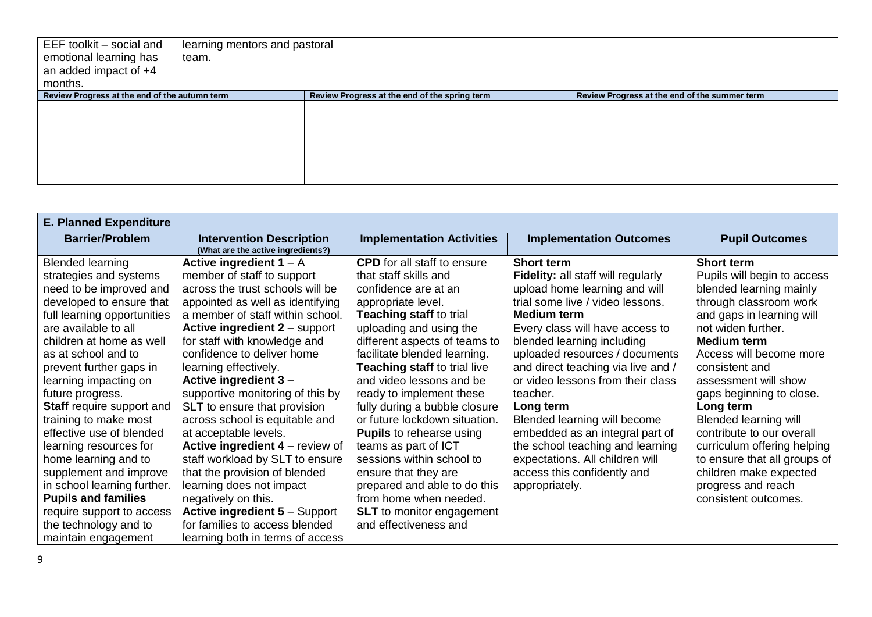| EEF toolkit - social and<br>emotional learning has<br>an added impact of $+4$<br>months. | learning mentors and pastoral<br>team. |                                               |                                               |  |
|------------------------------------------------------------------------------------------|----------------------------------------|-----------------------------------------------|-----------------------------------------------|--|
| Review Progress at the end of the autumn term                                            |                                        | Review Progress at the end of the spring term | Review Progress at the end of the summer term |  |
|                                                                                          |                                        |                                               |                                               |  |
|                                                                                          |                                        |                                               |                                               |  |
|                                                                                          |                                        |                                               |                                               |  |
|                                                                                          |                                        |                                               |                                               |  |
|                                                                                          |                                        |                                               |                                               |  |
|                                                                                          |                                        |                                               |                                               |  |

| <b>E. Planned Expenditure</b>                                                                                                                                                                                                                                                                                                                                                                                                                                                                                                                                                                             |                                                                                                                                                                                                                                                                                                                                                                                                                                                                                                                                                                                                                                                                                                                                 |                                                                                                                                                                                                                                                                                                                                                                                                                                                                                                                                                                                                                                                 |                                                                                                                                                                                                                                                                                                                                                                                                                                                                                                                                                             |                                                                                                                                                                                                                                                                                                                                                                                                                                                                                                  |  |  |
|-----------------------------------------------------------------------------------------------------------------------------------------------------------------------------------------------------------------------------------------------------------------------------------------------------------------------------------------------------------------------------------------------------------------------------------------------------------------------------------------------------------------------------------------------------------------------------------------------------------|---------------------------------------------------------------------------------------------------------------------------------------------------------------------------------------------------------------------------------------------------------------------------------------------------------------------------------------------------------------------------------------------------------------------------------------------------------------------------------------------------------------------------------------------------------------------------------------------------------------------------------------------------------------------------------------------------------------------------------|-------------------------------------------------------------------------------------------------------------------------------------------------------------------------------------------------------------------------------------------------------------------------------------------------------------------------------------------------------------------------------------------------------------------------------------------------------------------------------------------------------------------------------------------------------------------------------------------------------------------------------------------------|-------------------------------------------------------------------------------------------------------------------------------------------------------------------------------------------------------------------------------------------------------------------------------------------------------------------------------------------------------------------------------------------------------------------------------------------------------------------------------------------------------------------------------------------------------------|--------------------------------------------------------------------------------------------------------------------------------------------------------------------------------------------------------------------------------------------------------------------------------------------------------------------------------------------------------------------------------------------------------------------------------------------------------------------------------------------------|--|--|
| <b>Barrier/Problem</b>                                                                                                                                                                                                                                                                                                                                                                                                                                                                                                                                                                                    | <b>Intervention Description</b><br>(What are the active ingredients?)                                                                                                                                                                                                                                                                                                                                                                                                                                                                                                                                                                                                                                                           | <b>Implementation Activities</b>                                                                                                                                                                                                                                                                                                                                                                                                                                                                                                                                                                                                                | <b>Implementation Outcomes</b>                                                                                                                                                                                                                                                                                                                                                                                                                                                                                                                              | <b>Pupil Outcomes</b>                                                                                                                                                                                                                                                                                                                                                                                                                                                                            |  |  |
| <b>Blended learning</b><br>strategies and systems<br>need to be improved and<br>developed to ensure that<br>full learning opportunities<br>are available to all<br>children at home as well<br>as at school and to<br>prevent further gaps in<br>learning impacting on<br>future progress.<br><b>Staff</b> require support and<br>training to make most<br>effective use of blended<br>learning resources for<br>home learning and to<br>supplement and improve<br>in school learning further.<br><b>Pupils and families</b><br>require support to access<br>the technology and to<br>maintain engagement | Active ingredient $1 - A$<br>member of staff to support<br>across the trust schools will be<br>appointed as well as identifying<br>a member of staff within school.<br>Active ingredient 2 - support<br>for staff with knowledge and<br>confidence to deliver home<br>learning effectively.<br>Active ingredient $3 -$<br>supportive monitoring of this by<br>SLT to ensure that provision<br>across school is equitable and<br>at acceptable levels.<br>Active ingredient $4 -$ review of<br>staff workload by SLT to ensure<br>that the provision of blended<br>learning does not impact<br>negatively on this.<br><b>Active ingredient 5 - Support</b><br>for families to access blended<br>learning both in terms of access | <b>CPD</b> for all staff to ensure<br>that staff skills and<br>confidence are at an<br>appropriate level.<br><b>Teaching staff to trial</b><br>uploading and using the<br>different aspects of teams to<br>facilitate blended learning.<br><b>Teaching staff to trial live</b><br>and video lessons and be<br>ready to implement these<br>fully during a bubble closure<br>or future lockdown situation.<br><b>Pupils</b> to rehearse using<br>teams as part of ICT<br>sessions within school to<br>ensure that they are<br>prepared and able to do this<br>from home when needed.<br><b>SLT</b> to monitor engagement<br>and effectiveness and | <b>Short term</b><br><b>Fidelity:</b> all staff will regularly<br>upload home learning and will<br>trial some live / video lessons.<br><b>Medium term</b><br>Every class will have access to<br>blended learning including<br>uploaded resources / documents<br>and direct teaching via live and /<br>or video lessons from their class<br>teacher.<br>Long term<br>Blended learning will become<br>embedded as an integral part of<br>the school teaching and learning<br>expectations. All children will<br>access this confidently and<br>appropriately. | <b>Short term</b><br>Pupils will begin to access<br>blended learning mainly<br>through classroom work<br>and gaps in learning will<br>not widen further.<br><b>Medium term</b><br>Access will become more<br>consistent and<br>assessment will show<br>gaps beginning to close.<br>Long term<br><b>Blended learning will</b><br>contribute to our overall<br>curriculum offering helping<br>to ensure that all groups of<br>children make expected<br>progress and reach<br>consistent outcomes. |  |  |